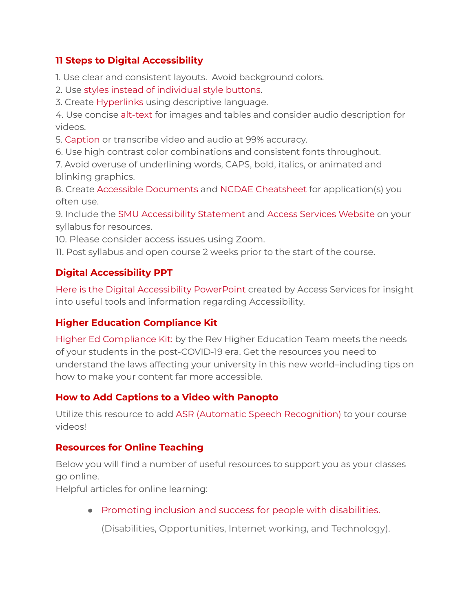#### **11 Steps to Digital Accessibility**

1. Use clear and consistent layouts. Avoid background colors.

2. Use styles instead of [individual](https://accessforall.pressbooks.com/chapter/creating-accessible-documents/#StandardAccessibilityFeatures) style buttons.

3. Create [Hyperlinks](https://accessibility.umn.edu/core-skills/hyperlinks) using descriptive language.

4. Use concise [alt-text](https://drive.google.com/open?id=1AV7pTJIbDQh9ih2I4HIwFR4a_im37cFY) for images and tables and consider audio description for videos.

5. [Caption](https://www.washington.edu/accessibility/videos/) or transcribe video and audio at 99% accuracy.

6. Use high contrast color combinations and consistent fonts throughout.

7. Avoid overuse of underlining words, CAPS, bold, italics, or animated and blinking graphics.

8. Create Accessible [Documents](https://accessforall.pressbooks.com/chapter/creating-accessible-documents/) and NCDAE [Cheatsheet](http://ncdae.org/resources/cheatsheets/) for application(s) you often use.

9. Include the SMU [Accessibility](https://accessservices.smumn.edu/faculty/) Statement and Access [Services](https://accessservices.smumn.edu/) Website on your syllabus for resources.

10. Please consider access issues using Zoom.

11. Post syllabus and open course 2 weeks prior to the start of the course.

## **Digital Accessibility PPT**

[Here](https://drive.google.com/file/d/1CKJjBuh2kYYG7xQldBQfTSvXVRLoNB47/view?usp=sharing) is the Digital [Accessibility](https://drive.google.com/file/d/1Eb14Tgb-qxf1FXQ6xa6F4HZFX04UN21D/view?usp=sharing) PowerPoint created by Access Services for insight into useful tools and information regarding Accessibility.

## **Higher Education Compliance Kit**

Higher Ed [Compliance](https://enterprise.rev.com/ebook/higher-education-compliance-kit/ty?utm_source=pardot&utm_medium=email&utm_campaign=.edu-nurture&utm_content=102) Kit: by the Rev Higher Education Team meets the needs of your students in the post-COVID-19 era. Get the resources you need to understand the laws affecting your university in this new world–including tips on how to make your content far more accessible.

## **How to Add Captions to a Video with Panopto**

Utilize this resource to add ASR (Automatic Speech [Recognition\)](https://support.panopto.com/s/article/ASR-Generated-Captions) to your course videos!

#### **Resources for Online Teaching**

Below you will find a number of useful resources to support you as your classes go online.

Helpful articles for online learning:

● Promoting inclusion and success for people with [disabilities.](https://www.washington.edu/doit/)

(Disabilities, Opportunities, Internet working, and Technology).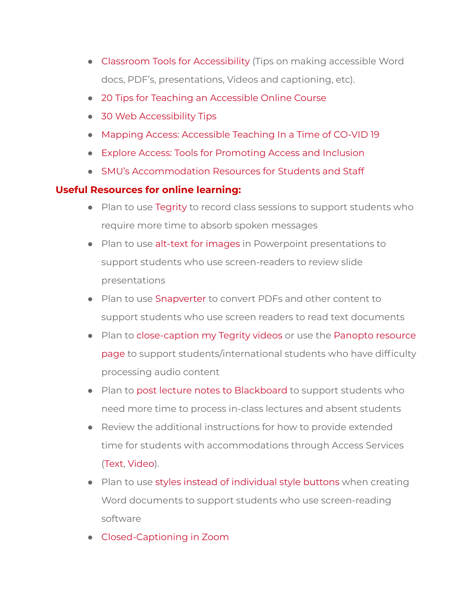- Classroom Tools for [Accessibility](https://exploreaccess.org/accessible-online-course/) (Tips on making accessible Word docs, PDF's, presentations, Videos and captioning, etc).
- 20 Tips for Teaching an [Accessible](https://www.washington.edu/doit/20-tips-teaching-accessible-online-course) Online Course
- 30 Web [Accessibility](https://www.washington.edu/doit/30-web-accessibility-tips) Tips
- Mapping Access: [Accessible](https://www.mapping-access.com/blog-1/2020/3/10/accessible-teaching-in-the-time-of-covid-19) Teaching In a Time of CO-VID 19
- Explore Access: Tools for [Promoting](https://exploreaccess.org/accessible-online-course/) Access and Inclusion
- SMU's [Accommodation](https://accessservices.smumn.edu/faculty/accessservices.smumn.edu/accommodations-winona/) Resources for Students and Staff

# **Useful Resources for online learning:**

- Plan to use [Tegrity](https://techfaq.smumn.edu/index.php?action=faq&cat=30&id=255&artlang=en) to record class sessions to support students who require more time to absorb spoken messages
- Plan to use alt-text for [images](https://drive.google.com/file/d/1AV7pTJIbDQh9ih2I4HIwFR4a_im37cFY/view) in Powerpoint presentations to support students who use screen-readers to review slide presentations
- Plan to use [Snapverter](https://www.youtube.com/watch?v=vtXCRqu_L3g&feature=youtu.be) to convert PDFs and other content to support students who use screen readers to read text documents
- Plan to [close-caption](https://drive.google.com/file/d/1pKR2KyX6rMgcQ3IxCL2bcviJI9VqKcTF/view) my Tegrity videos or use the Panopto [resource](https://howtovideos.hosted.panopto.com/Panopto/Pages/Folders/DepartmentHome.aspx?folderID=4b9de7ae-0080-4158-8496-a9ba01692c2e) [page](https://howtovideos.hosted.panopto.com/Panopto/Pages/Folders/DepartmentHome.aspx?folderID=4b9de7ae-0080-4158-8496-a9ba01692c2e) to support students/international students who have difficulty processing audio content
- Plan to post lecture notes to [Blackboard](https://drive.google.com/file/d/1BMQ44PGVkKl5Che_d9Z3sTiZOC2KOsBb/view) to support students who need more time to process in-class lectures and absent students
- Review the additional instructions for how to provide extended time for students with accommodations through Access Services [\(Text,](https://help.blackboard.com/Learn/Instructor/Tests_Pools_Surveys/Test_and_Survey_Options#test-availability-exceptions_OTP-4) [Video\)](https://www.youtube.com/watch?v=E0ad8wWlYnU).
- Plan to use styles instead of [individual](https://accessforall.pressbooks.com/chapter/creating-accessible-documents/#StandardAccessibilityFeatures) style buttons when creating Word documents to support students who use screen-reading software
- [Closed-Captioning](https://support.zoom.us/hc/en-us/articles/207279736-Getting-started-with-closed-captioning) in Zoom